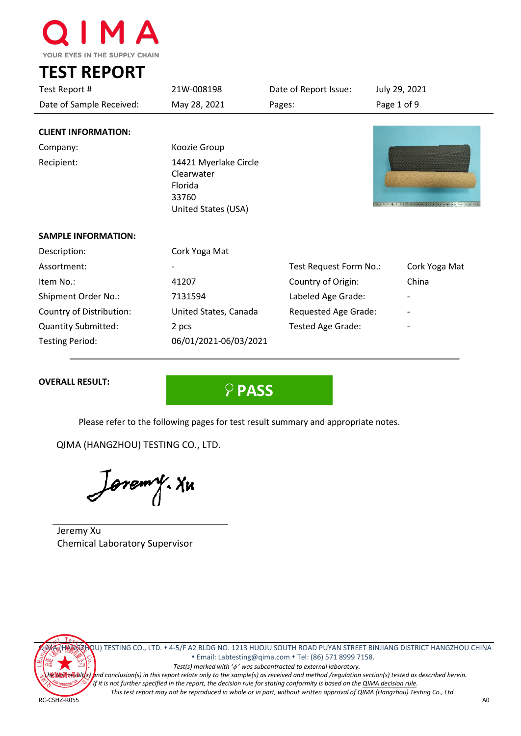

**TEST REPORT**

| Test Report #              | 21W-008198<br>Date of Report Issue:                                                                                                                                |                        | July 29, 2021 |  |
|----------------------------|--------------------------------------------------------------------------------------------------------------------------------------------------------------------|------------------------|---------------|--|
| Date of Sample Received:   | May 28, 2021                                                                                                                                                       | Pages:                 | Page 1 of 9   |  |
| <b>CLIENT INFORMATION:</b> |                                                                                                                                                                    |                        |               |  |
| Company:                   | Koozie Group                                                                                                                                                       |                        |               |  |
| Recipient:                 | 14421 Myerlake Circle<br>Clearwater<br>Florida<br>33760<br>The purpose process of the constitution of the contract between<br>$\frac{1}{2}$<br>United States (USA) |                        |               |  |
| <b>SAMPLE INFORMATION:</b> |                                                                                                                                                                    |                        |               |  |
| Description:               | Cork Yoga Mat                                                                                                                                                      |                        |               |  |
| Assortment:                |                                                                                                                                                                    | Test Request Form No.: | Cork Yoga Mat |  |
| Item No.:                  | 41207<br>Country of Origin:                                                                                                                                        |                        | China         |  |
| Shipment Order No.:        | 7131594<br>Labeled Age Grade:                                                                                                                                      |                        |               |  |
| Country of Distribution:   | United States, Canada<br>Requested Age Grade:                                                                                                                      |                        |               |  |
| <b>Quantity Submitted:</b> | Tested Age Grade:<br>2 pcs                                                                                                                                         |                        |               |  |
| <b>Testing Period:</b>     | 06/01/2021-06/03/2021                                                                                                                                              |                        |               |  |

# **OVERALL RESULT:**

**PASS**

Please refer to the following pages for test result summary and appropriate notes.

QIMA (HANGZHOU) TESTING CO., LTD.

*oremy*. Yu

Jeremy Xu Chemical Laboratory Supervisor



QIMA (HANGZHOU) TESTING CO., LTD. 4-5/F A2 BLDG NO. 1213 HUOJU SOUTH ROAD PUYAN STREET BINJIANG DISTRICT HANGZHOU CHINA Email[: Labtesting@qima.com](mailto:Labtesting@qima.com) Tel: (86) 571 8999 7158.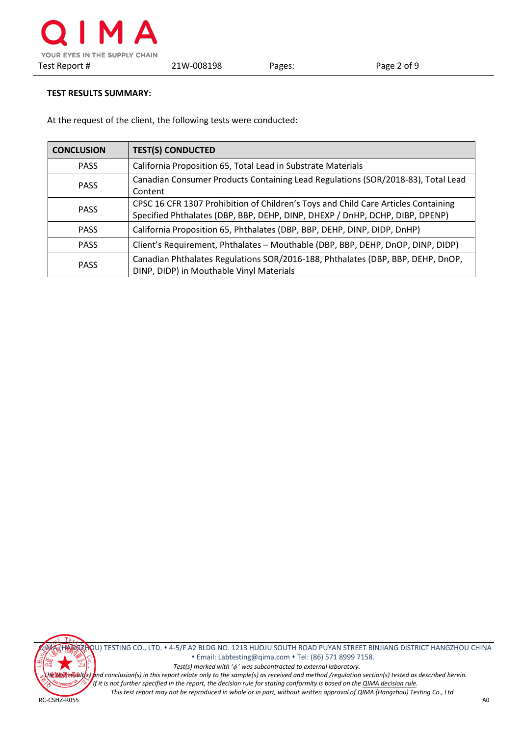# **TEST RESULTS SUMMARY:**

At the request of the client, the following tests were conducted:

| <b>CONCLUSION</b> | <b>TEST(S) CONDUCTED</b>                                                                                                                                           |  |  |  |
|-------------------|--------------------------------------------------------------------------------------------------------------------------------------------------------------------|--|--|--|
| <b>PASS</b>       | California Proposition 65, Total Lead in Substrate Materials                                                                                                       |  |  |  |
| <b>PASS</b>       | Canadian Consumer Products Containing Lead Regulations (SOR/2018-83), Total Lead<br>Content                                                                        |  |  |  |
| <b>PASS</b>       | CPSC 16 CFR 1307 Prohibition of Children's Toys and Child Care Articles Containing<br>Specified Phthalates (DBP, BBP, DEHP, DINP, DHEXP / DnHP, DCHP, DIBP, DPENP) |  |  |  |
| <b>PASS</b>       | California Proposition 65, Phthalates (DBP, BBP, DEHP, DINP, DIDP, DnHP)                                                                                           |  |  |  |
| <b>PASS</b>       | Client's Requirement, Phthalates - Mouthable (DBP, BBP, DEHP, DnOP, DINP, DIDP)                                                                                    |  |  |  |
| <b>PASS</b>       | Canadian Phthalates Regulations SOR/2016-188, Phthalates (DBP, BBP, DEHP, DnOP,<br>DINP, DIDP) in Mouthable Vinyl Materials                                        |  |  |  |



QIMA (HANGZHOU) TESTING CO., LTD. 4-5/F A2 BLDG NO. 1213 HUOJU SOUTH ROAD PUYAN STREET BINJIANG DISTRICT HANGZHOU CHINA Email[: Labtesting@qima.com](mailto:Labtesting@qima.com) Tel: (86) 571 8999 7158.  *Test(s) marked with '*φ *' was subcontracted to external laboratory.*

**Litest result(s) a**nd conclusion(s) in this report relate only to the sample(s) as received and method /regulation section(s) tested as described herein. *If it is not further specified in the report, the decision rule for stating conformity is based on the [QIMA decision rule.](https://s3.qima.com/files/CRD_QIMA%20Decision%20Rule-V1.pdf?_ga=2.1664817.108575118.1565087606-1285160517.1565087606) This test report may not be reproduced in whole or in part, without written approval of QIMA (Hangzhou) Testing Co., Ltd.*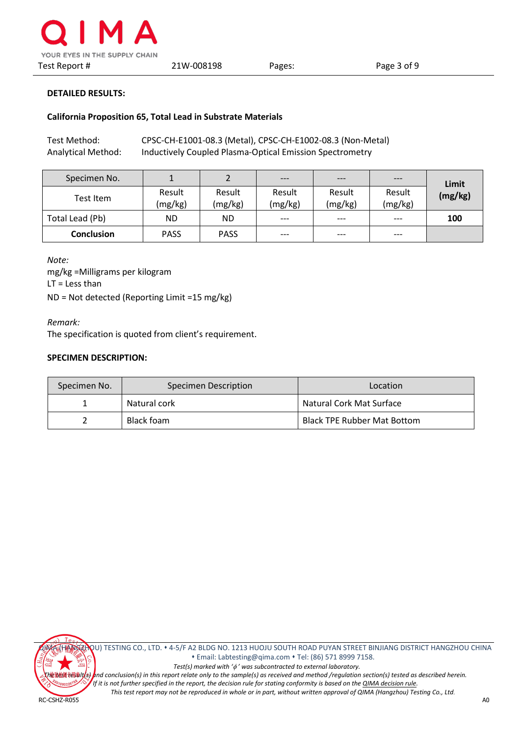

#### **California Proposition 65, Total Lead in Substrate Materials**

| Test Method:       | CPSC-CH-E1001-08.3 (Metal), CPSC-CH-E1002-08.3 (Non-Metal) |
|--------------------|------------------------------------------------------------|
| Analytical Method: | Inductively Coupled Plasma-Optical Emission Spectrometry   |

| Specimen No.      |                   |                   | $---$             | $---$             | $---$             | Limit   |
|-------------------|-------------------|-------------------|-------------------|-------------------|-------------------|---------|
| Test Item         | Result<br>(mg/kg) | Result<br>(mg/kg) | Result<br>(mg/kg) | Result<br>(mg/kg) | Result<br>(mg/kg) | (mg/kg) |
| Total Lead (Pb)   | <b>ND</b>         | ND                | $---$             | $---$             | $---$             | 100     |
| <b>Conclusion</b> | <b>PASS</b>       | <b>PASS</b>       | $---$             | $---$             | $---$             |         |

*Note:* mg/kg =Milligrams per kilogram LT = Less than ND = Not detected (Reporting Limit =15 mg/kg)

*Remark:*

The specification is quoted from client's requirement.

# **SPECIMEN DESCRIPTION:**

| Specimen No. | Specimen Description | Location                           |  |
|--------------|----------------------|------------------------------------|--|
|              | Natural cork         | Natural Cork Mat Surface           |  |
|              | Black foam           | <b>Black TPE Rubber Mat Bottom</b> |  |



QIMA (HANGZHOU) TESTING CO., LTD. 4-5/F A2 BLDG NO. 1213 HUOJU SOUTH ROAD PUYAN STREET BINJIANG DISTRICT HANGZHOU CHINA Email[: Labtesting@qima.com](mailto:Labtesting@qima.com) Tel: (86) 571 8999 7158.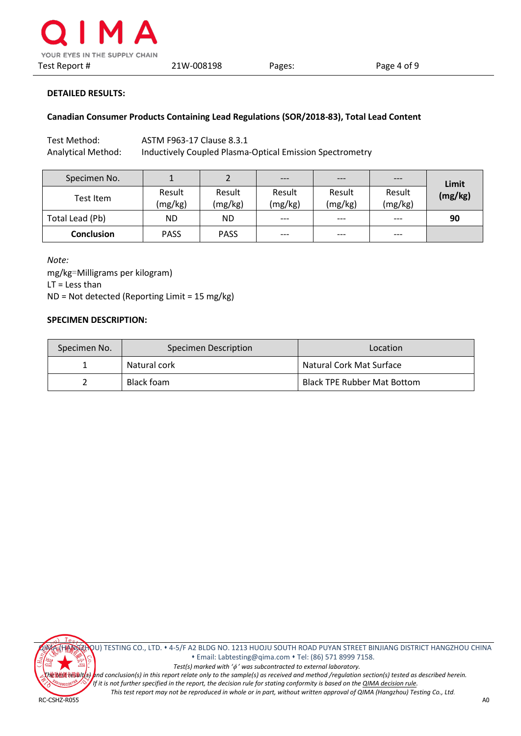

### **Canadian Consumer Products Containing Lead Regulations (SOR/2018-83), Total Lead Content**

Test Method: ASTM F963-17 Clause 8.3.1 Analytical Method: Inductively Coupled Plasma-Optical Emission Spectrometry

| Specimen No.      |                   |                   | $---$             | $---$             | ---               | Limit   |
|-------------------|-------------------|-------------------|-------------------|-------------------|-------------------|---------|
| Test Item         | Result<br>(mg/kg) | Result<br>(mg/kg) | Result<br>(mg/kg) | Result<br>(mg/kg) | Result<br>(mg/kg) | (mg/kg) |
| Total Lead (Pb)   | <b>ND</b>         | ND                | $---$             | $---$             | $---$             | 90      |
| <b>Conclusion</b> | <b>PASS</b>       | <b>PASS</b>       | $---$             | $---$             | $---$             |         |

*Note:* mg/kg=Milligrams per kilogram)  $LT =$  Less than ND = Not detected (Reporting Limit = 15 mg/kg)

### **SPECIMEN DESCRIPTION:**

| Specimen No. | Specimen Description | Location                           |
|--------------|----------------------|------------------------------------|
|              | Natural cork         | Natural Cork Mat Surface           |
|              | Black foam           | <b>Black TPE Rubber Mat Bottom</b> |

QIMA (HANGZHOU) TESTING CO., LTD. 4-5/F A2 BLDG NO. 1213 HUOJU SOUTH ROAD PUYAN STREET BINJIANG DISTRICT HANGZHOU CHINA Email[: Labtesting@qima.com](mailto:Labtesting@qima.com) Tel: (86) 571 8999 7158.  *Test(s) marked with '*φ *' was subcontracted to external laboratory.*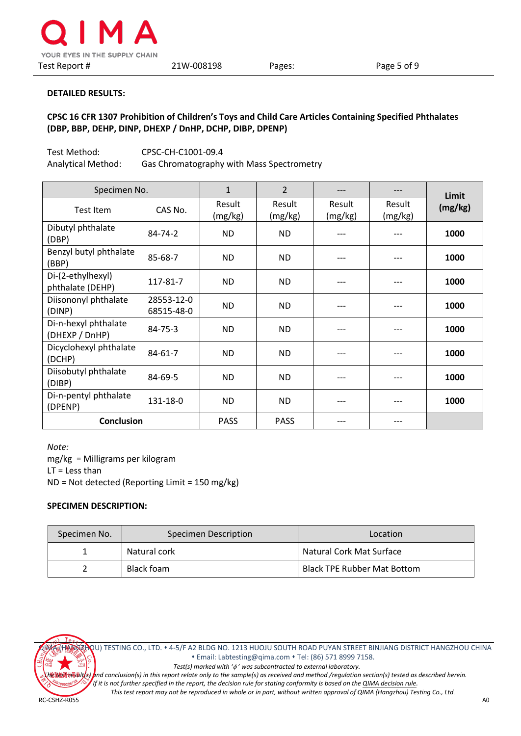

# **CPSC 16 CFR 1307 Prohibition of Children's Toys and Child Care Articles Containing Specified Phthalates (DBP, BBP, DEHP, DINP, DHEXP / DnHP, DCHP, DIBP, DPENP)**

Test Method: CPSC-CH-C1001-09.4 Analytical Method: Gas Chromatography with Mass Spectrometry

| Specimen No.                           |                          | $\mathbf{1}$      | $\overline{2}$    |                   |                   | Limit   |
|----------------------------------------|--------------------------|-------------------|-------------------|-------------------|-------------------|---------|
| Test Item                              | CAS No.                  | Result<br>(mg/kg) | Result<br>(mg/kg) | Result<br>(mg/kg) | Result<br>(mg/kg) | (mg/kg) |
| Dibutyl phthalate<br>(DBP)             | 84-74-2                  | ND.               | <b>ND</b>         |                   |                   | 1000    |
| Benzyl butyl phthalate<br>(BBP)        | 85-68-7                  | ND.               | <b>ND</b>         | ---               |                   | 1000    |
| Di-(2-ethylhexyl)<br>phthalate (DEHP)  | 117-81-7                 | ND.               | <b>ND</b>         | ---               |                   | 1000    |
| Diisononyl phthalate<br>(DINP)         | 28553-12-0<br>68515-48-0 | ND.               | <b>ND</b>         | ---               |                   | 1000    |
| Di-n-hexyl phthalate<br>(DHEXP / DnHP) | $84 - 75 - 3$            | ND.               | <b>ND</b>         |                   |                   | 1000    |
| Dicyclohexyl phthalate<br>(DCHP)       | $84 - 61 - 7$            | ND.               | <b>ND</b>         | ---               |                   | 1000    |
| Diisobutyl phthalate<br>(DIBP)         | 84-69-5                  | ND.               | <b>ND</b>         |                   |                   | 1000    |
| Di-n-pentyl phthalate<br>(DPENP)       | 131-18-0                 | ND.               | <b>ND</b>         | ---               |                   | 1000    |
| <b>Conclusion</b>                      |                          | <b>PASS</b>       | <b>PASS</b>       | ---               |                   |         |

*Note:* mg/kg = Milligrams per kilogram LT = Less than ND = Not detected (Reporting Limit = 150 mg/kg)

## **SPECIMEN DESCRIPTION:**

| Specimen No. | Specimen Description | Location                           |
|--------------|----------------------|------------------------------------|
|              | Natural cork         | Natural Cork Mat Surface           |
|              | Black foam           | <b>Black TPE Rubber Mat Bottom</b> |



QIMA (HANGZHOU) TESTING CO., LTD. 4-5/F A2 BLDG NO. 1213 HUOJU SOUTH ROAD PUYAN STREET BINJIANG DISTRICT HANGZHOU CHINA Email[: Labtesting@qima.com](mailto:Labtesting@qima.com) Tel: (86) 571 8999 7158.

 *Test(s) marked with '*φ *' was subcontracted to external laboratory.*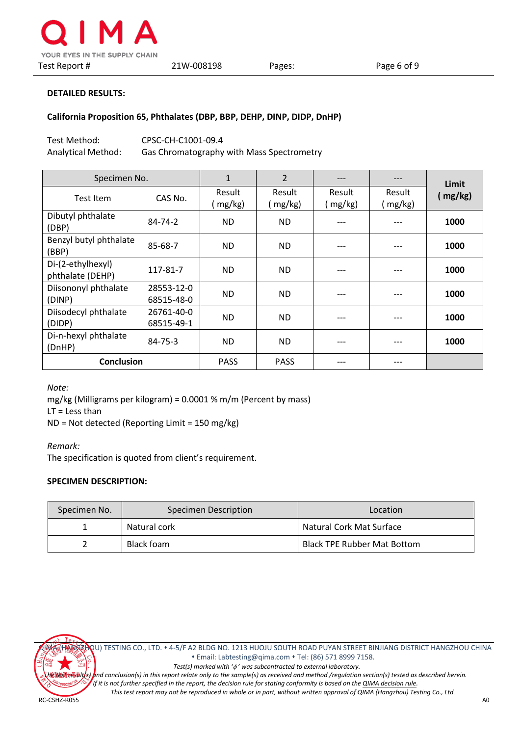

#### **California Proposition 65, Phthalates (DBP, BBP, DEHP, DINP, DIDP, DnHP)**

| Test Method:       | CPSC-CH-C1001-09.4                        |
|--------------------|-------------------------------------------|
| Analytical Method: | Gas Chromatography with Mass Spectrometry |

| Specimen No.                          |                          | $\mathbf{1}$     | $\overline{2}$   | $---$            | ---                 | Limit   |
|---------------------------------------|--------------------------|------------------|------------------|------------------|---------------------|---------|
| Test Item                             | CAS No.                  | Result<br>mg/kg) | Result<br>mg/kg) | Result<br>mg/kg) | Result<br>$mg/kg$ ) | (mg/kg) |
| Dibutyl phthalate<br>(DBP)            | 84-74-2                  | <b>ND</b>        | <b>ND</b>        |                  |                     | 1000    |
| Benzyl butyl phthalate<br>(BBP)       | 85-68-7                  | <b>ND</b>        | <b>ND</b>        |                  |                     | 1000    |
| Di-(2-ethylhexyl)<br>phthalate (DEHP) | 117-81-7                 | ND.              | <b>ND</b>        | ---              |                     | 1000    |
| Diisononyl phthalate<br>(DINP)        | 28553-12-0<br>68515-48-0 | ND.              | ND.              | ---              |                     | 1000    |
| Diisodecyl phthalate<br>(DIDP)        | 26761-40-0<br>68515-49-1 | ND.              | ND.              | $---$            |                     | 1000    |
| Di-n-hexyl phthalate<br>(DnHP)        | $84 - 75 - 3$            | <b>ND</b>        | <b>ND</b>        | ---              | ---                 | 1000    |
| <b>Conclusion</b>                     |                          | <b>PASS</b>      | <b>PASS</b>      | ---              | ---                 |         |

*Note:*

mg/kg (Milligrams per kilogram) = 0.0001 % m/m (Percent by mass)

 $LT =$  Less than

ND = Not detected (Reporting Limit = 150 mg/kg)

#### *Remark:*

The specification is quoted from client's requirement.

### **SPECIMEN DESCRIPTION:**

| Specimen No. | Specimen Description | Location                    |  |
|--------------|----------------------|-----------------------------|--|
|              | Natural cork         | Natural Cork Mat Surface    |  |
|              | Black foam           | Black TPE Rubber Mat Bottom |  |



QIMA (HANGZHOU) TESTING CO., LTD. 4-5/F A2 BLDG NO. 1213 HUOJU SOUTH ROAD PUYAN STREET BINJIANG DISTRICT HANGZHOU CHINA Email[: Labtesting@qima.com](mailto:Labtesting@qima.com) Tel: (86) 571 8999 7158.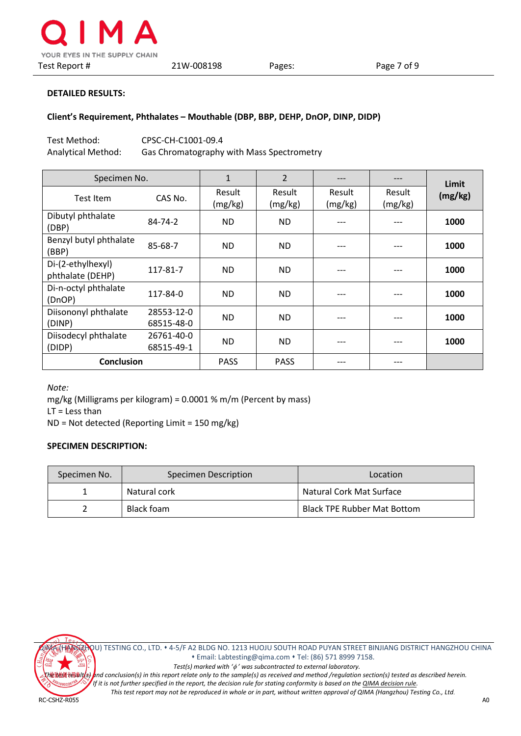

#### **Client's Requirement, Phthalates – Mouthable (DBP, BBP, DEHP, DnOP, DINP, DIDP)**

Test Method: CPSC-CH-C1001-09.4 Analytical Method: Gas Chromatography with Mass Spectrometry

| Specimen No.                          |                          | 1                 | $\overline{2}$    | $---$             | ---               | Limit   |
|---------------------------------------|--------------------------|-------------------|-------------------|-------------------|-------------------|---------|
| Test Item                             | CAS No.                  | Result<br>(mg/kg) | Result<br>(mg/kg) | Result<br>(mg/kg) | Result<br>(mg/kg) | (mg/kg) |
| Dibutyl phthalate<br>(DBP)            | 84-74-2                  | <b>ND</b>         | <b>ND</b>         |                   |                   | 1000    |
| Benzyl butyl phthalate<br>(BBP)       | 85-68-7                  | <b>ND</b>         | ND.               |                   |                   | 1000    |
| Di-(2-ethylhexyl)<br>phthalate (DEHP) | 117-81-7                 | <b>ND</b>         | <b>ND</b>         | ---               |                   | 1000    |
| Di-n-octyl phthalate<br>(DnOP)        | 117-84-0                 | <b>ND</b>         | <b>ND</b>         | ---               |                   | 1000    |
| Diisononyl phthalate<br>(DINP)        | 28553-12-0<br>68515-48-0 | <b>ND</b>         | <b>ND</b>         | ---               |                   | 1000    |
| Diisodecyl phthalate<br>(DIDP)        | 26761-40-0<br>68515-49-1 | <b>ND</b>         | <b>ND</b>         |                   |                   | 1000    |
| <b>Conclusion</b>                     |                          | <b>PASS</b>       | <b>PASS</b>       |                   | ---               |         |

*Note:*

mg/kg (Milligrams per kilogram) = 0.0001 % m/m (Percent by mass)

 $LT =$  Less than

ND = Not detected (Reporting Limit = 150 mg/kg)

### **SPECIMEN DESCRIPTION:**

| Specimen No. | Specimen Description | Location                    |  |
|--------------|----------------------|-----------------------------|--|
|              | Natural cork         | Natural Cork Mat Surface    |  |
|              | Black foam           | Black TPE Rubber Mat Bottom |  |



QIMA (HANGZHOU) TESTING CO., LTD. 4-5/F A2 BLDG NO. 1213 HUOJU SOUTH ROAD PUYAN STREET BINJIANG DISTRICT HANGZHOU CHINA Email[: Labtesting@qima.com](mailto:Labtesting@qima.com) Tel: (86) 571 8999 7158.

 *Test(s) marked with '*φ *' was subcontracted to external laboratory.*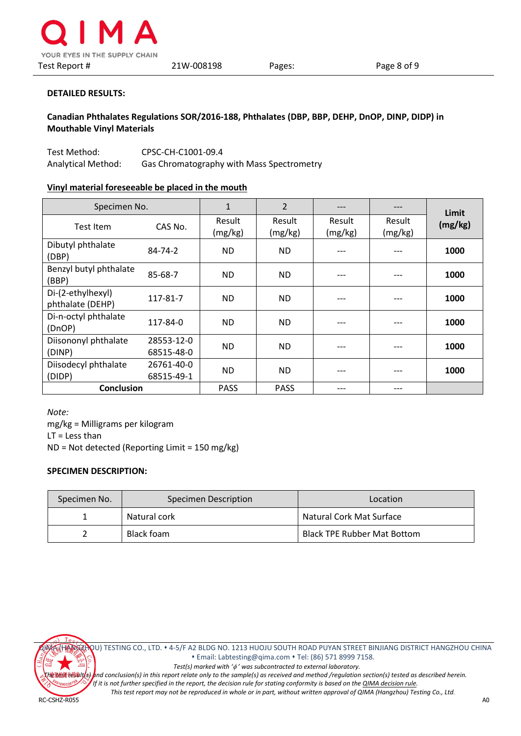

**Canadian Phthalates Regulations SOR/2016-188, Phthalates (DBP, BBP, DEHP, DnOP, DINP, DIDP) in Mouthable Vinyl Materials**

Test Method: CPSC-CH-C1001-09.4 Analytical Method: Gas Chromatography with Mass Spectrometry

# **Vinyl material foreseeable be placed in the mouth**

| Specimen No.                          |                          | $\mathbf{1}$      | $\overline{2}$    | $---$             | ---               | Limit   |
|---------------------------------------|--------------------------|-------------------|-------------------|-------------------|-------------------|---------|
| Test Item                             | CAS No.                  | Result<br>(mg/kg) | Result<br>(mg/kg) | Result<br>(mg/kg) | Result<br>(mg/kg) | (mg/kg) |
| Dibutyl phthalate<br>(DBP)            | 84-74-2                  | <b>ND</b>         | <b>ND</b>         | ---               |                   | 1000    |
| Benzyl butyl phthalate<br>(BBP)       | 85-68-7                  | <b>ND</b>         | <b>ND</b>         | ---               |                   | 1000    |
| Di-(2-ethylhexyl)<br>phthalate (DEHP) | 117-81-7                 | <b>ND</b>         | <b>ND</b>         | ---               |                   | 1000    |
| Di-n-octyl phthalate<br>(DnOP)        | 117-84-0                 | <b>ND</b>         | <b>ND</b>         |                   |                   | 1000    |
| Diisononyl phthalate<br>(DINP)        | 28553-12-0<br>68515-48-0 | ND.               | <b>ND</b>         | ---               |                   | 1000    |
| Diisodecyl phthalate<br>(DIDP)        | 26761-40-0<br>68515-49-1 | ND.               | <b>ND</b>         | ---               |                   | 1000    |
| <b>Conclusion</b>                     |                          | <b>PASS</b>       | <b>PASS</b>       | ---               | ---               |         |

*Note:* mg/kg = Milligrams per kilogram  $LT =$  Less than ND = Not detected (Reporting Limit = 150 mg/kg)

#### **SPECIMEN DESCRIPTION:**

| Specimen No. | Specimen Description | Location                    |  |
|--------------|----------------------|-----------------------------|--|
|              | Natural cork         | Natural Cork Mat Surface    |  |
|              | Black foam           | Black TPE Rubber Mat Bottom |  |



QIMA (HANGZHOU) TESTING CO., LTD. 4-5/F A2 BLDG NO. 1213 HUOJU SOUTH ROAD PUYAN STREET BINJIANG DISTRICT HANGZHOU CHINA Email[: Labtesting@qima.com](mailto:Labtesting@qima.com) Tel: (86) 571 8999 7158.